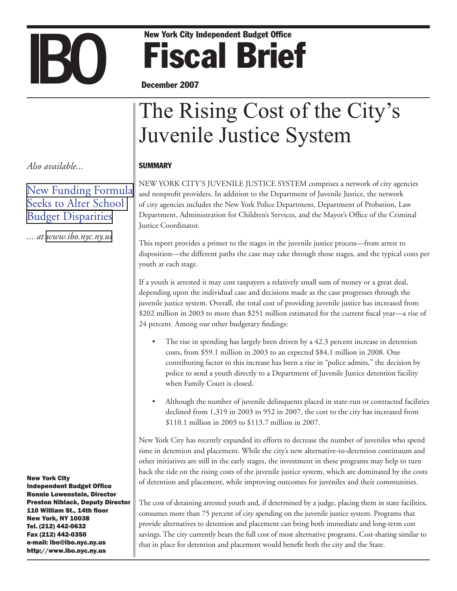# New York City Independent Budget Office<br>December 2007 Fiscal Brief

December 2007

## The Rising Cost of the City's Juvenile Justice System

#### **SUMMARY**

New York City's juvenile justice system comprises a network of city agencies and nonprofit providers. In addition to the Department of Juvenile Justice, the network of city agencies includes the New York Police Department, Department of Probation, Law Department, Administration for Children's Services, and the Mayor's Office of the Criminal Justice Coordinator.

This report provides a primer to the stages in the juvenile justice process—from arrest to disposition—the different paths the case may take through those stages, and the typical costs per youth at each stage.

If a youth is arrested it may cost taxpayers a relatively small sum of money or a great deal, depending upon the individual case and decisions made as the case progresses through the juvenile justice system. Overall, the total cost of providing juvenile justice has increased from \$202 million in 2003 to more than \$251 million estimated for the current fiscal year—a rise of 24 percent. Among our other budgetary findings:

- The rise in spending has largely been driven by a 42.3 percent increase in detention costs, from \$59.1 million in 2003 to an expected \$84.1 million in 2008. One contributing factor to this increase has been a rise in "police admits," the decision by police to send a youth directly to a Department of Juvenile Justice detention facility when Family Court is closed.
- Although the number of juvenile delinquents placed in state-run or contracted facilities declined from 1,319 in 2003 to 952 in 2007, the cost to the city has increased from \$110.1 million in 2003 to \$113.7 million in 2007.

New York City has recently expanded its efforts to decrease the number of juveniles who spend time in detention and placement. While the city's new alternative-to-detention continuum and other initiatives are still in the early stages, the investment in these programs may help to turn back the tide on the rising costs of the juvenile justice system, which are dominated by the costs of detention and placement, while improving outcomes for juveniles and their communities.

The cost of detaining arrested youth and, if determined by a judge, placing them in state facilities, consumes more than 75 percent of city spending on the juvenile justice system. Programs that provide alternatives to detention and placement can bring both immediate and long-term cost savings. The city currently bears the full cost of most alternative programs. Cost-sharing similar to that in place for detention and placement would benefit both the city and the State.

*Also available...*

[New Funding Formula](http://www.ibo.nyc.ny.us/iboreports/FairStudentFunding2.pdf)  [Seeks to Alter School](http://www.ibo.nyc.ny.us/iboreports/FairStudentFunding2.pdf)  [Budget Disparities](http://www.ibo.nyc.ny.us/iboreports/FairStudentFunding2.pdf)

*... at [www.ibo.nyc.ny.us](http://www.ibo.nyc.ny.us)*

New York City Independent Budget Office Ronnie Lowenstein, Director Preston Niblack, Deputy Director 110 William St., 14th floor New York, NY 10038 Tel. (212) 442-0632 Fax (212) 442-0350 e-mail: ibo@ibo.nyc.ny.us http://www.ibo.nyc.ny.us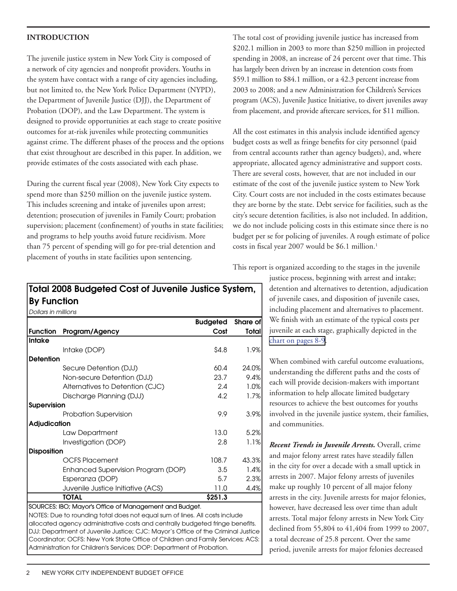#### **Introduction**

The juvenile justice system in New York City is composed of a network of city agencies and nonprofit providers. Youths in the system have contact with a range of city agencies including, but not limited to, the New York Police Department (NYPD), the Department of Juvenile Justice (DJJ), the Department of Probation (DOP), and the Law Department. The system is designed to provide opportunities at each stage to create positive outcomes for at-risk juveniles while protecting communities against crime. The different phases of the process and the options that exist throughout are described in this paper. In addition, we provide estimates of the costs associated with each phase.

During the current fiscal year (2008), New York City expects to spend more than \$250 million on the juvenile justice system. This includes screening and intake of juveniles upon arrest; detention; prosecution of juveniles in Family Court; probation supervision; placement (confinement) of youths in state facilities; and programs to help youths avoid future recidivism. More than 75 percent of spending will go for pre-trial detention and placement of youths in state facilities upon sentencing.

The total cost of providing juvenile justice has increased from \$202.1 million in 2003 to more than \$250 million in projected spending in 2008, an increase of 24 percent over that time. This has largely been driven by an increase in detention costs from \$59.1 million to \$84.1 million, or a 42.3 percent increase from 2003 to 2008; and a new Administration for Children's Services program (ACS), Juvenile Justice Initiative, to divert juveniles away from placement, and provide aftercare services, for \$11 million.

All the cost estimates in this analysis include identified agency budget costs as well as fringe benefits for city personnel (paid from central accounts rather than agency budgets), and, where appropriate, allocated agency administrative and support costs. There are several costs, however, that are not included in our estimate of the cost of the juvenile justice system to New York City. Court costs are not included in the costs estimates because they are borne by the state. Debt service for facilities, such as the city's secure detention facilities, is also not included. In addition, we do not include policing costs in this estimate since there is no budget per se for policing of juveniles. A rough estimate of police costs in fiscal year 2007 would be \$6.1 million.<sup>1</sup>

This report is organized according to the stages in the juvenile

justice process, beginning with arrest and intake; detention and alternatives to detention, adjudication of juvenile cases, and disposition of juvenile cases, including placement and alternatives to placement. We finish with an estimate of the typical costs per juvenile at each stage, graphically depicted in the [chart on pages 8-9.](#page-7-0)

When combined with careful outcome evaluations, understanding the different paths and the costs of each will provide decision-makers with important information to help allocate limited budgetary resources to achieve the best outcomes for youths involved in the juvenile justice system, their families, and communities.

*Recent Trends in Juvenile Arrests.* Overall, crime and major felony arrest rates have steadily fallen in the city for over a decade with a small uptick in arrests in 2007. Major felony arrests of juveniles make up roughly 10 percent of all major felony arrests in the city. Juvenile arrests for major felonies, however, have decreased less over time than adult arrests. Total major felony arrests in New York City declined from 55,804 to 41,404 from 1999 to 2007, a total decrease of 25.8 percent. Over the same period, juvenile arrests for major felonies decreased

### Total 2008 Budgeted Cost of Juvenile Justice System, By Function

*Dollars in millions*

|                     |                                                        | <b>Budgeted</b> | Share of |
|---------------------|--------------------------------------------------------|-----------------|----------|
| <b>Function</b>     | Program/Agency                                         | Cost            | Totall   |
| <b>Intake</b>       |                                                        |                 |          |
|                     | Intake (DOP)                                           | \$4.8           | 1.9%     |
| <b>Detention</b>    |                                                        |                 |          |
|                     | Secure Detention (DJJ)                                 | 60.4            | 24.0%    |
|                     | Non-secure Detention (DJJ)                             | 23.7            | 9.4%     |
|                     | Alternatives to Detention (CJC)                        | $2.4^{\circ}$   | 1.0%     |
|                     | Discharge Planning (DJJ)                               | 4.2             | 1.7%     |
| Supervision         |                                                        |                 |          |
|                     | Probation Supervision                                  | 9.9             | 3.9%     |
| <b>Adjudication</b> |                                                        |                 |          |
|                     | Law Department                                         | 13.0            | 5.2%     |
|                     | Investigation (DOP)                                    | 2.8             | 1.1%     |
| <b>Disposition</b>  |                                                        |                 |          |
|                     | <b>OCFS Placement</b>                                  | 108.7           | 43.3%    |
|                     | Enhanced Supervision Program (DOP)                     | 3.5             | 1.4%     |
|                     | Esperanza (DOP)                                        | 5.7             | 2.3%     |
|                     | Juvenile Justice Initiative (ACS)                      | 11.0            | 4.4%     |
|                     | TOTAL                                                  | \$251.3         |          |
|                     | SOURCES: IBO; Mayor's Office of Management and Budget. |                 |          |

NOTES: Due to rounding total does not equal sum of lines. All costs include allocated agency administrative costs and centrally budgeted fringe benefits. DJJ: Department of Juvenile Justice; CJC: Mayor's Office of the Criminal Justice Coordinator; OCFS: New York State Office of Children and Family Services; ACS: Administration for Children's Services; DOP: Department of Probation.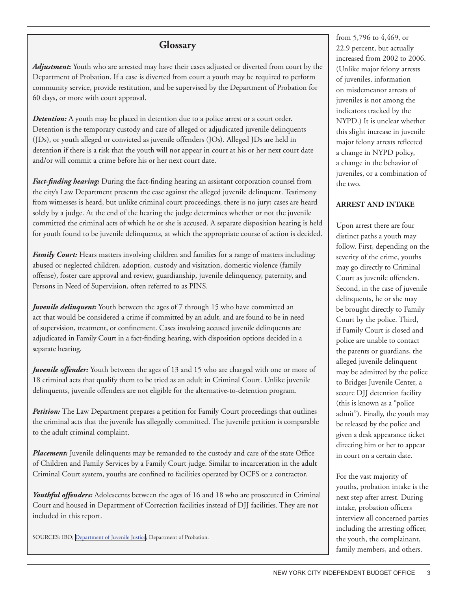#### **Glossary**

*Adjustment***:** Youth who are arrested may have their cases adjusted or diverted from court by the Department of Probation. If a case is diverted from court a youth may be required to perform community service, provide restitution, and be supervised by the Department of Probation for 60 days, or more with court approval.

*Detention:* A youth may be placed in detention due to a police arrest or a court order. Detention is the temporary custody and care of alleged or adjudicated juvenile delinquents (JDs), or youth alleged or convicted as juvenile offenders (JOs). Alleged JDs are held in detention if there is a risk that the youth will not appear in court at his or her next court date and/or will commit a crime before his or her next court date.

*Fact-finding hearing:* During the fact-finding hearing an assistant corporation counsel from the city's Law Department presents the case against the alleged juvenile delinquent. Testimony from witnesses is heard, but unlike criminal court proceedings, there is no jury; cases are heard solely by a judge. At the end of the hearing the judge determines whether or not the juvenile committed the criminal acts of which he or she is accused. A separate disposition hearing is held for youth found to be juvenile delinquents, at which the appropriate course of action is decided.

*Family Court:* Hears matters involving children and families for a range of matters including: abused or neglected children, adoption, custody and visitation, domestic violence (family offense), foster care approval and review, guardianship, juvenile delinquency, paternity, and Persons in Need of Supervision, often referred to as PINS.

*Juvenile delinquent:* Youth between the ages of 7 through 15 who have committed an act that would be considered a crime if committed by an adult, and are found to be in need of supervision, treatment, or confinement. Cases involving accused juvenile delinquents are adjudicated in Family Court in a fact-finding hearing, with disposition options decided in a separate hearing.

*Juvenile offender:* Youth between the ages of 13 and 15 who are charged with one or more of 18 criminal acts that qualify them to be tried as an adult in Criminal Court. Unlike juvenile delinquents, juvenile offenders are not eligible for the alternative-to-detention program.

*Petition:* The Law Department prepares a petition for Family Court proceedings that outlines the criminal acts that the juvenile has allegedly committed. The juvenile petition is comparable to the adult criminal complaint.

*Placement:* Juvenile delinquents may be remanded to the custody and care of the state Office of Children and Family Services by a Family Court judge. Similar to incarceration in the adult Criminal Court system, youths are confined to facilities operated by OCFS or a contractor.

*Youthful offenders:* Adolescents between the ages of 16 and 18 who are prosecuted in Criminal Court and housed in Department of Correction facilities instead of DJJ facilities. They are not included in this report.

SOURCES: IBO; [Department of Juvenile Justice](http://home2.nyc.gov/html/djj/html/cases.html); Department of Probation.

from 5,796 to 4,469, or 22.9 percent, but actually increased from 2002 to 2006. (Unlike major felony arrests of juveniles, information on misdemeanor arrests of juveniles is not among the indicators tracked by the NYPD.) It is unclear whether this slight increase in juvenile major felony arrests reflected a change in NYPD policy, a change in the behavior of juveniles, or a combination of the two.

#### **Arrest and Intake**

Upon arrest there are four distinct paths a youth may follow. First, depending on the severity of the crime, youths may go directly to Criminal Court as juvenile offenders. Second, in the case of juvenile delinquents, he or she may be brought directly to Family Court by the police. Third, if Family Court is closed and police are unable to contact the parents or guardians, the alleged juvenile delinquent may be admitted by the police to Bridges Juvenile Center, a secure DJJ detention facility (this is known as a "police admit"). Finally, the youth may be released by the police and given a desk appearance ticket directing him or her to appear in court on a certain date.

For the vast majority of youths, probation intake is the next step after arrest. During intake, probation officers interview all concerned parties including the arresting officer, the youth, the complainant, family members, and others.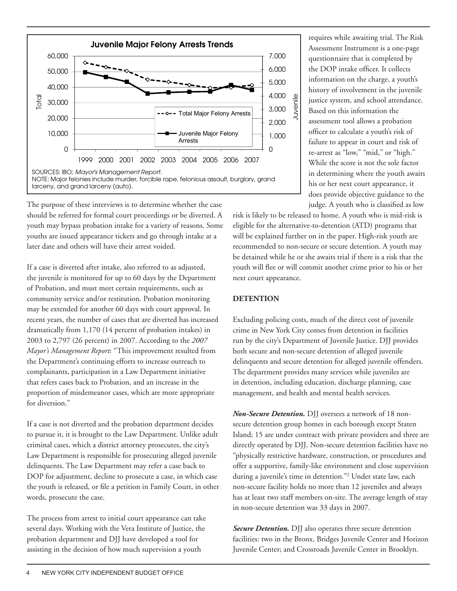

The purpose of these interviews is to determine whether the case should be referred for formal court proceedings or be diverted. A youth may bypass probation intake for a variety of reasons. Some youths are issued appearance tickets and go through intake at a later date and others will have their arrest voided.

If a case is diverted after intake, also referred to as adjusted, the juvenile is monitored for up to 60 days by the Department of Probation, and must meet certain requirements, such as community service and/or restitution. Probation monitoring may be extended for another 60 days with court approval. In recent years, the number of cases that are diverted has increased dramatically from 1,170 (14 percent of probation intakes) in 2003 to 2,797 (26 percent) in 2007. According to the *2007 Mayor's Management Report*: "This improvement resulted from the Department's continuing efforts to increase outreach to complainants, participation in a Law Department initiative that refers cases back to Probation, and an increase in the proportion of misdemeanor cases, which are more appropriate for diversion."

If a case is not diverted and the probation department decides to pursue it, it is brought to the Law Department. Unlike adult criminal cases, which a district attorney prosecutes, the city's Law Department is responsible for prosecuting alleged juvenile delinquents. The Law Department may refer a case back to DOP for adjustment, decline to prosecute a case, in which case the youth is released, or file a petition in Family Court, in other words, prosecute the case.

The process from arrest to initial court appearance can take several days. Working with the Vera Institute of Justice, the probation department and DJJ have developed a tool for assisting in the decision of how much supervision a youth

requires while awaiting trial. The Risk Assessment Instrument is a one-page questionnaire that is completed by the DOP intake officer. It collects information on the charge, a youth's history of involvement in the juvenile justice system, and school attendance. Based on this information the assessment tool allows a probation officer to calculate a youth's risk of failure to appear in court and risk of re-arrest as "low," "mid," or "high." While the score is not the sole factor in determining where the youth awaits his or her next court appearance, it does provide objective guidance to the judge. A youth who is classified as low

risk is likely to be released to home. A youth who is mid-risk is eligible for the alternative-to-detention (ATD) programs that will be explained further on in the paper. High-risk youth are recommended to non-secure or secure detention. A youth may be detained while he or she awaits trial if there is a risk that the youth will flee or will commit another crime prior to his or her next court appearance.

#### **Detention**

Excluding policing costs, much of the direct cost of juvenile crime in New York City comes from detention in facilities run by the city's Department of Juvenile Justice. DJJ provides both secure and non-secure detention of alleged juvenile delinquents and secure detention for alleged juvenile offenders. The department provides many services while juveniles are in detention, including education, discharge planning, case management, and health and mental health services.

*Non-Secure Detention.* DJJ oversees a network of 18 nonsecure detention group homes in each borough except Staten Island; 15 are under contract with private providers and three are directly operated by DJJ. Non-secure detention facilities have no "physically restrictive hardware, construction, or procedures and offer a supportive, family-like environment and close supervision during a juvenile's time in detention."2 Under state law, each non-secure facility holds no more than 12 juveniles and always has at least two staff members on-site. The average length of stay in non-secure detention was 33 days in 2007.

**Secure Detention.** DJJ also operates three secure detention facilities: two in the Bronx, Bridges Juvenile Center and Horizon Juvenile Center; and Crossroads Juvenile Center in Brooklyn.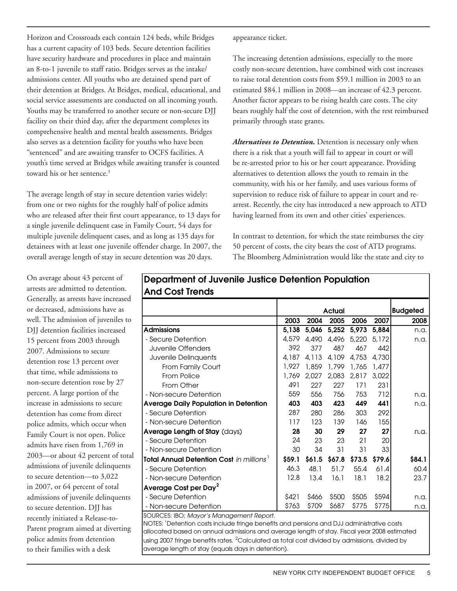Horizon and Crossroads each contain 124 beds, while Bridges has a current capacity of 103 beds. Secure detention facilities have security hardware and procedures in place and maintain an 8-to-1 juvenile to staff ratio. Bridges serves as the intake/ admissions center. All youths who are detained spend part of their detention at Bridges. At Bridges, medical, educational, and social service assessments are conducted on all incoming youth. Youths may be transferred to another secure or non-secure DJJ facility on their third day, after the department completes its comprehensive health and mental health assessments. Bridges also serves as a detention facility for youths who have been "sentenced" and are awaiting transfer to OCFS facilities. A youth's time served at Bridges while awaiting transfer is counted toward his or her sentence.<sup>3</sup>

The average length of stay in secure detention varies widely: from one or two nights for the roughly half of police admits who are released after their first court appearance, to 13 days for a single juvenile delinquent case in Family Court, 54 days for multiple juvenile delinquent cases, and as long as 135 days for detainees with at least one juvenile offender charge. In 2007, the overall average length of stay in secure detention was 20 days.

appearance ticket.

Department of Juvenile Justice Detention Population

The increasing detention admissions, especially to the more costly non-secure detention, have combined with cost increases to raise total detention costs from \$59.1 million in 2003 to an estimated \$84.1 million in 2008—an increase of 42.3 percent. Another factor appears to be rising health care costs. The city bears roughly half the cost of detention, with the rest reimbursed primarily through state grants.

*Alternatives to Detention.* Detention is necessary only when there is a risk that a youth will fail to appear in court or will be re-arrested prior to his or her court appearance. Providing alternatives to detention allows the youth to remain in the community, with his or her family, and uses various forms of supervision to reduce risk of failure to appear in court and rearrest. Recently, the city has introduced a new approach to ATD having learned from its own and other cities' experiences.

In contrast to detention, for which the state reimburses the city 50 percent of costs, the city bears the cost of ATD programs. The Bloomberg Administration would like the state and city to

On average about 43 percent of arrests are admitted to detention. Generally, as arrests have increased or decreased, admissions have as well. The admission of juveniles to DJJ detention facilities increased 15 percent from 2003 through 2007. Admissions to secure detention rose 13 percent over that time, while admissions to non-secure detention rose by 27 percent. A large portion of the increase in admissions to secure detention has come from direct police admits, which occur when Family Court is not open. Police admits have risen from 1,769 in 2003—or about 42 percent of total admissions of juvenile delinquents to secure detention—to 3,022 in 2007, or 64 percent of total admissions of juvenile delinquents to secure detention. DJJ has recently initiated a Release-to-Parent program aimed at diverting police admits from detention to their families with a desk And Cost Trends

|                                                  | Actual |        |        |        |        | <b>Budgeted</b> |
|--------------------------------------------------|--------|--------|--------|--------|--------|-----------------|
|                                                  | 2003   | 2004   | 2005   | 2006   | 2007   | 2008            |
| <b>Admissions</b>                                | 5.138  | 5,046  | 5,252  | 5,973  | 5,884  | n.a.            |
| - Secure Detention                               | 4,579  | 4.490  | 4,496  | 5,220  | 5,172  | n.a.            |
| Juvenile Offenders                               | 392    | 377    | 487    | 467    | 442    |                 |
| Juvenile Delinquents                             | 4.187  | 4,113  | 4,109  | 4,753  | 4,730  |                 |
| From Family Court                                | 1,927  | 1,859  | 1,799  | 1,765  | 1,477  |                 |
| <b>From Police</b>                               | 1,769  | 2,027  | 2,083  | 2,817  | 3,022  |                 |
| From Other                                       | 491    | 227    | 227    | 171    | 231    |                 |
| - Non-secure Detention                           | 559    | 556    | 756    | 753    | 712    | n.a.            |
| <b>Average Daily Population in Detention</b>     | 403    | 403    | 423    | 449    | 441    | n.a.            |
| - Secure Detention                               | 287    | 280    | 286    | 303    | 292    |                 |
| - Non-secure Detention                           | 117    | 123    | 139    | 146    | 155    |                 |
| Average Length of Stay (days)                    | 28     | 30     | 29     | 27     | 27     | n.a.            |
| - Secure Detention                               | 24     | 23     | 23     | 21     | 20     |                 |
| - Non-secure Detention                           | 30     | 34     | 31     | 31     | 33     |                 |
| <b>Total Annual Detention Cost in millions 1</b> | \$59.1 | \$61.5 | \$67.8 | \$73.5 | \$79.6 | \$84.1          |
| - Secure Detention                               | 46.3   | 48.1   | 51.7   | 55.4   | 61.4   | 60.4            |
| - Non-secure Detention                           | 12.8   | 13.4   | 16.1   | 18.1   | 18.2   | 23.7            |
| Average Cost per Day <sup>2</sup>                |        |        |        |        |        |                 |
| - Secure Detention                               | \$421  | \$466  | \$500  | \$505  | \$594  | n.a.            |
| - Non-secure Detention                           | \$763  | \$709  | \$687  | \$775  | \$775  | n.a.            |
| SOURCES: IBO; Mayor's Management Report.         |        |        |        |        |        |                 |

NOTES: <sup>1</sup> Detention costs include fringe benefits and pensions and DJJ administrative costs allocated based on annual admissions and average length of stay. Fiscal year 2008 estimated

using 2007 fringe benefits rates.  $^2$ Calculated as total cost divided by admissions, divided by average length of stay (equals days in detention).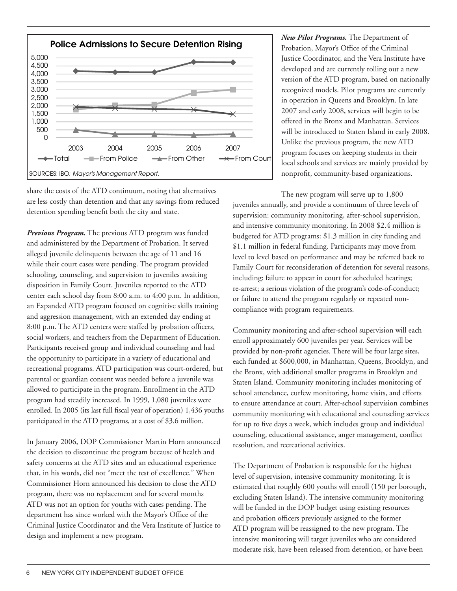

share the costs of the ATD continuum, noting that alternatives are less costly than detention and that any savings from reduced detention spending benefit both the city and state.

*Previous Program.* The previous ATD program was funded and administered by the Department of Probation. It served alleged juvenile delinquents between the age of 11 and 16 while their court cases were pending. The program provided schooling, counseling, and supervision to juveniles awaiting disposition in Family Court. Juveniles reported to the ATD center each school day from 8:00 a.m. to 4:00 p.m. In addition, an Expanded ATD program focused on cognitive skills training and aggression management, with an extended day ending at 8:00 p.m. The ATD centers were staffed by probation officers, social workers, and teachers from the Department of Education. Participants received group and individual counseling and had the opportunity to participate in a variety of educational and recreational programs. ATD participation was court-ordered, but parental or guardian consent was needed before a juvenile was allowed to participate in the program. Enrollment in the ATD program had steadily increased. In 1999, 1,080 juveniles were enrolled. In 2005 (its last full fiscal year of operation) 1,436 youths participated in the ATD programs, at a cost of \$3.6 million.

In January 2006, DOP Commissioner Martin Horn announced the decision to discontinue the program because of health and safety concerns at the ATD sites and an educational experience that, in his words, did not "meet the test of excellence." When Commissioner Horn announced his decision to close the ATD program, there was no replacement and for several months ATD was not an option for youths with cases pending. The department has since worked with the Mayor's Office of the Criminal Justice Coordinator and the Vera Institute of Justice to design and implement a new program.

*New Pilot Programs.* The Department of Probation, Mayor's Office of the Criminal Justice Coordinator, and the Vera Institute have developed and are currently rolling out a new version of the ATD program, based on nationally recognized models. Pilot programs are currently in operation in Queens and Brooklyn. In late 2007 and early 2008, services will begin to be offered in the Bronx and Manhattan. Services will be introduced to Staten Island in early 2008. Unlike the previous program, the new ATD program focuses on keeping students in their local schools and services are mainly provided by nonprofit, community-based organizations.

The new program will serve up to 1,800 juveniles annually, and provide a continuum of three levels of supervision: community monitoring, after-school supervision, and intensive community monitoring. In 2008 \$2.4 million is budgeted for ATD programs: \$1.3 million in city funding and \$1.1 million in federal funding. Participants may move from level to level based on performance and may be referred back to Family Court for reconsideration of detention for several reasons, including: failure to appear in court for scheduled hearings; re-arrest; a serious violation of the program's code-of-conduct; or failure to attend the program regularly or repeated noncompliance with program requirements.

Community monitoring and after-school supervision will each enroll approximately 600 juveniles per year. Services will be provided by non-profit agencies. There will be four large sites, each funded at \$600,000, in Manhattan, Queens, Brooklyn, and the Bronx, with additional smaller programs in Brooklyn and Staten Island. Community monitoring includes monitoring of school attendance, curfew monitoring, home visits, and efforts to ensure attendance at court. After-school supervision combines community monitoring with educational and counseling services for up to five days a week, which includes group and individual counseling, educational assistance, anger management, conflict resolution, and recreational activities.

The Department of Probation is responsible for the highest level of supervision, intensive community monitoring. It is estimated that roughly 600 youths will enroll (150 per borough, excluding Staten Island). The intensive community monitoring will be funded in the DOP budget using existing resources and probation officers previously assigned to the former ATD program will be reassigned to the new program. The intensive monitoring will target juveniles who are considered moderate risk, have been released from detention, or have been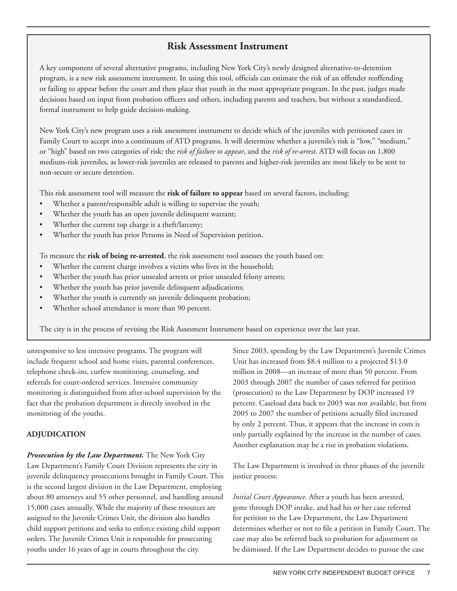#### **Risk Assessment Instrument**

A key component of several alternative programs, including New York City's newly designed alternative-to-detention program, is a new risk assessment instrument. In using this tool, officials can estimate the risk of an offender reoffending or failing to appear before the court and then place that youth in the most appropriate program. In the past, judges made decisions based on input from probation officers and others, including parents and teachers, but without a standardized, formal instrument to help guide decision-making.

New York City's new program uses a risk assessment instrument to decide which of the juveniles with petitioned cases in Family Court to accept into a continuum of ATD programs. It will determine whether a juvenile's risk is "low," "medium," or "high" based on two categories of risk: the *risk of failure to appear*, and the *risk of re-arrest*. ATD will focus on 1,800 medium-risk juveniles, as lower-risk juveniles are released to parents and higher-risk juveniles are most likely to be sent to non-secure or secure detention.

This risk assessment tool will measure the **risk of failure to appear** based on several factors, including:

- Whether a parent/responsible adult is willing to supervise the youth;
- Whether the youth has an open juvenile delinquent warrant;
- Whether the current top charge is a theft/larceny;
- Whether the youth has prior Persons in Need of Supervision petition.

To measure the **risk of being re-arrested**, the risk assessment tool assesses the youth based on:

- Whether the current charge involves a victim who lives in the household;
- Whether the youth has prior unsealed arrests or prior unsealed felony arrests;
- Whether the youth has prior juvenile delinquent adjudications;
- Whether the youth is currently on juvenile delinquent probation;
- Whether school attendance is more than 90 percent.

The city is in the process of revising the Risk Assesment Instrument based on experience over the last year.

unresponsive to less intensive programs. The program will include frequent school and home visits, parental conferences, telephone check-ins, curfew monitoring, counseling, and referrals for court-ordered services. Intensive community monitoring is distinguished from after-school supervision by the fact that the probation department is directly involved in the monitoring of the youths.

#### **Adjudication**

*Prosecution by the Law Department.* The New York City Law Department's Family Court Division represents the city in juvenile delinquency prosecutions brought in Family Court. This is the second largest division in the Law Department, employing about 80 attorneys and 55 other personnel, and handling around 15,000 cases annually. While the majority of these resources are assigned to the Juvenile Crimes Unit, the division also handles child support petitions and seeks to enforce existing child support orders. The Juvenile Crimes Unit is responsible for prosecuting youths under 16 years of age in courts throughout the city.

Since 2003, spending by the Law Department's Juvenile Crimes Unit has increased from \$8.4 million to a projected \$13.0 million in 2008—an increase of more than 50 percent. From 2003 through 2007 the number of cases referred for petition (prosecution) to the Law Department by DOP increased 19 percent. Caseload data back to 2003 was not available, but from 2005 to 2007 the number of petitions actually filed increased by only 2 percent. Thus, it appears that the increase in costs is only partially explained by the increase in the number of cases. Another explanation may be a rise in probation violations.

The Law Department is involved in three phases of the juvenile justice process:

*Initial Court Appearance.* After a youth has been arrested, gone through DOP intake, and had his or her case referred for petition to the Law Department, the Law Department determines whether or not to file a petition in Family Court. The case may also be referred back to probation for adjustment or be dismissed. If the Law Department decides to pursue the case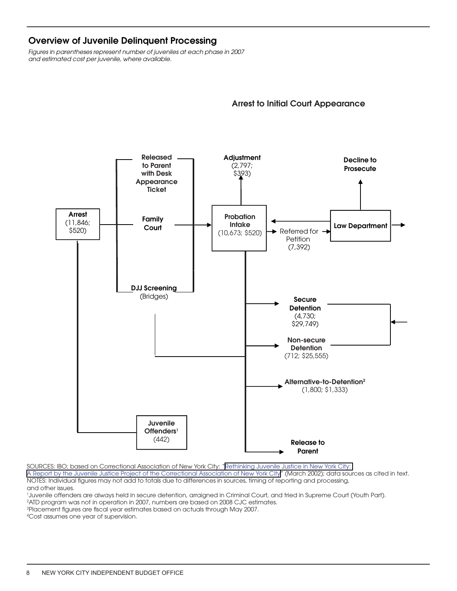#### <span id="page-7-0"></span>Overview of Juvenile Delinquent Processing

*Figures in parentheses represent number of juveniles at each phase in 2007 and estimated cost per juvenile, where available.*

## Arrest to Initial Court Appearance



[A Report by the Juvenile Justice Project of the Correctional Association of New York City"](http://www.bea.gov/bea/regional/gsp/help/GDPState.pdf) (March 2002); data sources as cited in text. NOTES: Individual figures may not add to totals due to differences in sources, timing of reporting and processing, and other issues.  $\frac{1}{2}$ SOURCES: IBO; based on Correctional Association of New York City: "[Rethinking Juvenile Justice in New York City:](http://www.bea.gov/bea/regional/gsp/help/GDPState.pdf) 

<sup>1</sup>Juvenile offenders are always held in secure detention, arraigned in Criminal Court, and tried in Supreme Court (Youth Part).

<sup>2</sup>ATD program was not in operation in 2007, numbers are based on 2008 CJC estimates.

1Juvenile offenders are always held in secure detention, arraigned in Criminal Court, and tried in 3 Placement figures are fiscal year estimates based on actuals through May 2007.

Accost assumes one year of supervision.  $2\sigma$  atour not operation in 2007, numbers are based on 2008 CJC estimates.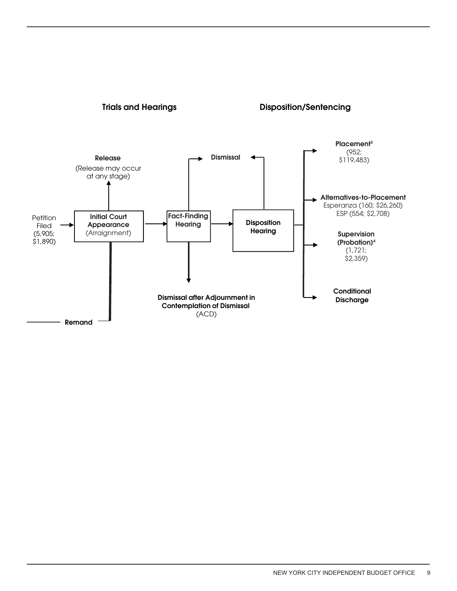

#### **Trials and Hearings Trials and Hearings Research Arraignment Disposition/Sentencing**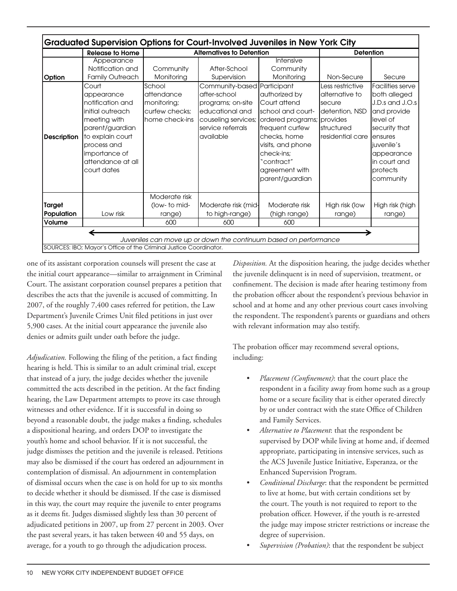|                              | <b>Release to Home</b>                                                                                                                                                                                                                              |                                                                                                    | <b>Alternatives to Detention</b>                                                                                                                                            | <b>Detention</b>                                                                                                                                                                                                                                  |                                                                                                                   |                                                                                                                                                                                                      |
|------------------------------|-----------------------------------------------------------------------------------------------------------------------------------------------------------------------------------------------------------------------------------------------------|----------------------------------------------------------------------------------------------------|-----------------------------------------------------------------------------------------------------------------------------------------------------------------------------|---------------------------------------------------------------------------------------------------------------------------------------------------------------------------------------------------------------------------------------------------|-------------------------------------------------------------------------------------------------------------------|------------------------------------------------------------------------------------------------------------------------------------------------------------------------------------------------------|
| Option<br><b>Description</b> | Appearance<br>Notification and<br><b>Family Outreach</b><br>Court<br>appearance<br>notification and<br>linitial outreach<br>meeting with<br>parent/guardian<br>to explain court<br>process and<br>importance of<br>attendance at all<br>court dates | Community<br>Monitoring<br>School<br>attendance<br>monitoring;<br>curfew checks:<br>home check-ins | After-School<br>Supervision<br>Community-based Participant<br>after-school<br>programs; on-site<br>educational and<br>couseling services;<br>service referrals<br>available | Intensive<br>Community<br>Monitoring<br>authorized by<br>Court attend<br>school and court-<br>ordered programs; provides<br>frequent curfew<br>checks, home<br>visits, and phone<br>check-ins:<br>"contract"<br>agreement with<br>parent/guardian | Non-Secure<br>Less restrictive<br>alternative to<br>Isecure<br>Idetention, NSD<br>Istructured<br>residential care | Secure<br>Facilities serve<br>both alleged<br>J.D.s and J.O.s<br>and provide<br>llevel of<br>security that<br><b>lensures</b><br>liuvenile's<br>appearance<br>lin court and<br>protects<br>community |
| <b>Target</b><br>Population  | Low risk                                                                                                                                                                                                                                            | Moderate risk<br>(low- to mid-<br>range)                                                           | Moderate risk (mid-<br>to high-range)                                                                                                                                       | Moderate risk<br>(high range)                                                                                                                                                                                                                     | High risk (low<br>range)                                                                                          | High risk (high<br>range)                                                                                                                                                                            |
| Volume                       |                                                                                                                                                                                                                                                     | 600                                                                                                | 600                                                                                                                                                                         | 600                                                                                                                                                                                                                                               |                                                                                                                   |                                                                                                                                                                                                      |

one of its assistant corporation counsels will present the case at the initial court appearance—similar to arraignment in Criminal Court. The assistant corporation counsel prepares a petition that describes the acts that the juvenile is accused of committing. In 2007, of the roughly 7,400 cases referred for petition, the Law Department's Juvenile Crimes Unit filed petitions in just over 5,900 cases. At the initial court appearance the juvenile also denies or admits guilt under oath before the judge.

*Adjudication.* Following the filing of the petition, a fact finding hearing is held. This is similar to an adult criminal trial, except that instead of a jury, the judge decides whether the juvenile committed the acts described in the petition. At the fact finding hearing, the Law Department attempts to prove its case through witnesses and other evidence. If it is successful in doing so beyond a reasonable doubt, the judge makes a finding, schedules a dispositional hearing, and orders DOP to investigate the youth's home and school behavior. If it is not successful, the judge dismisses the petition and the juvenile is released. Petitions may also be dismissed if the court has ordered an adjournment in contemplation of dismissal. An adjournment in contemplation of dismissal occurs when the case is on hold for up to six months to decide whether it should be dismissed. If the case is dismissed in this way, the court may require the juvenile to enter programs as it deems fit. Judges dismissed slightly less than 30 percent of adjudicated petitions in 2007, up from 27 percent in 2003. Over the past several years, it has taken between 40 and 55 days, on average, for a youth to go through the adjudication process.

*Disposition.* At the disposition hearing, the judge decides whether the juvenile delinquent is in need of supervision, treatment, or confinement. The decision is made after hearing testimony from the probation officer about the respondent's previous behavior in school and at home and any other previous court cases involving the respondent. The respondent's parents or guardians and others with relevant information may also testify.

The probation officer may recommend several options, including:

- *• Placement (Confinement)*: that the court place the respondent in a facility away from home such as a group home or a secure facility that is either operated directly by or under contract with the state Office of Children and Family Services.
- *• Alternative to Placement*: that the respondent be supervised by DOP while living at home and, if deemed appropriate, participating in intensive services, such as the ACS Juvenile Justice Initiative, Esperanza, or the Enhanced Supervision Program.
- *• Conditional Discharge*: that the respondent be permitted to live at home, but with certain conditions set by the court. The youth is not required to report to the probation officer. However, if the youth is re-arrested the judge may impose stricter restrictions or increase the degree of supervision.
- *• Supervision (Probation)*: that the respondent be subject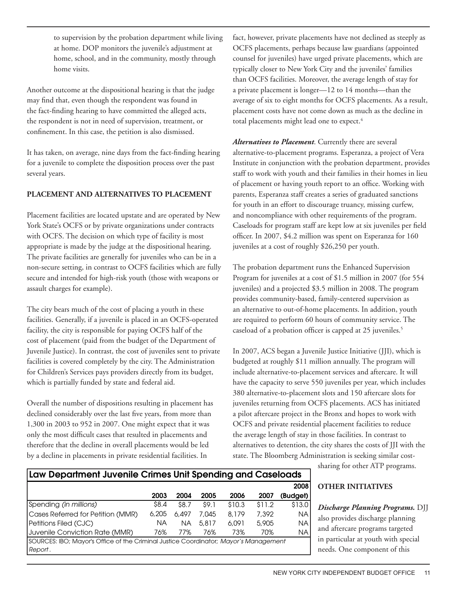to supervision by the probation department while living at home. DOP monitors the juvenile's adjustment at home, school, and in the community, mostly through home visits.

Another outcome at the dispositional hearing is that the judge may find that, even though the respondent was found in the fact-finding hearing to have committed the alleged acts, the respondent is not in need of supervision, treatment, or confinement. In this case, the petition is also dismissed.

It has taken, on average, nine days from the fact-finding hearing for a juvenile to complete the disposition process over the past several years.

#### **Placement and Alternatives to Placement**

Placement facilities are located upstate and are operated by New York State's OCFS or by private organizations under contracts with OCFS. The decision on which type of facility is most appropriate is made by the judge at the dispositional hearing. The private facilities are generally for juveniles who can be in a non-secure setting, in contrast to OCFS facilities which are fully secure and intended for high-risk youth (those with weapons or assault charges for example).

The city bears much of the cost of placing a youth in these facilities. Generally, if a juvenile is placed in an OCFS-operated facility, the city is responsible for paying OCFS half of the cost of placement (paid from the budget of the Department of Juvenile Justice). In contrast, the cost of juveniles sent to private facilities is covered completely by the city. The Administration for Children's Services pays providers directly from its budget, which is partially funded by state and federal aid.

Overall the number of dispositions resulting in placement has declined considerably over the last five years, from more than 1,300 in 2003 to 952 in 2007. One might expect that it was only the most difficult cases that resulted in placements and therefore that the decline in overall placements would be led by a decline in placements in private residential facilities. In

fact, however, private placements have not declined as steeply as OCFS placements, perhaps because law guardians (appointed counsel for juveniles) have urged private placements, which are typically closer to New York City and the juveniles' families than OCFS facilities. Moreover, the average length of stay for a private placement is longer—12 to 14 months—than the average of six to eight months for OCFS placements. As a result, placement costs have not come down as much as the decline in total placements might lead one to expect.<sup>4</sup>

*Alternatives to Placement*. Currently there are several alternative-to-placement programs. Esperanza, a project of Vera Institute in conjunction with the probation department, provides staff to work with youth and their families in their homes in lieu of placement or having youth report to an office. Working with parents, Esperanza staff creates a series of graduated sanctions for youth in an effort to discourage truancy, missing curfew, and noncompliance with other requirements of the program. Caseloads for program staff are kept low at six juveniles per field officer. In 2007, \$4.2 million was spent on Esperanza for 160 juveniles at a cost of roughly \$26,250 per youth.

The probation department runs the Enhanced Supervision Program for juveniles at a cost of \$1.5 million in 2007 (for 554 juveniles) and a projected \$3.5 million in 2008. The program provides community-based, family-centered supervision as an alternative to out-of-home placements. In addition, youth are required to perform 60 hours of community service. The caseload of a probation officer is capped at 25 juveniles.<sup>5</sup>

In 2007, ACS began a Juvenile Justice Initiative (JJI), which is budgeted at roughly \$11 million annually. The program will include alternative-to-placement services and aftercare. It will have the capacity to serve 550 juveniles per year, which includes 380 alternative-to-placement slots and 150 aftercare slots for juveniles returning from OCFS placements. ACS has initiated a pilot aftercare project in the Bronx and hopes to work with OCFS and private residential placement facilities to reduce the average length of stay in those facilities. In contrast to alternatives to detention, the city shares the costs of JJI with the state. The Bloomberg Administration is seeking similar cost-

#### Law Department Juvenile Crimes Unit Spending and Caseloads

2003 2004 2005 2006 2007 2008 (Budget) Spending *(in millions)* \$8.4 \$8.7 \$9.1 \$10.3 \$11.2 \$13.0 Cases Referred for Petition (MMR) 6,205 6,497 7,045 8,179 7,392 NA Petitions Filed (CJC) NA NA 5,817 6,091 5,905 NA Juvenile Conviction Rate (MMR) 76% 77% 76% 73% 70% NA SOURCES: IBO; Mayor's Office of the Criminal Justice Coordinator; *Mayor's Management Report* .

sharing for other ATP programs.

#### **Other Initiatives**

*Discharge Planning Programs.* DJJ also provides discharge planning and aftercare programs targeted in particular at youth with special needs. One component of this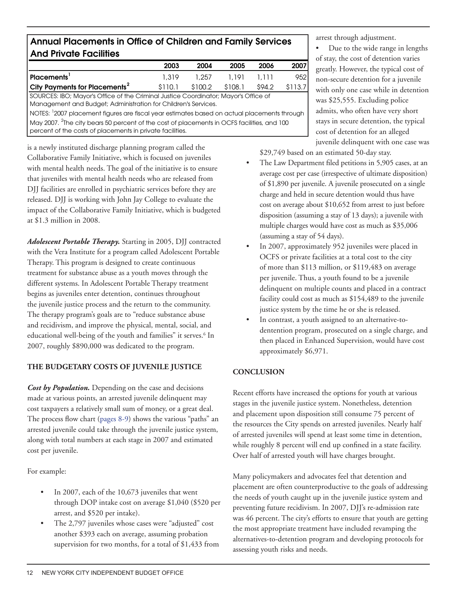#### Annual Placements in Office of Children and Family Services And Private Facilities

|                                                                                                            | 2003    | 2004    | 2005    | 2006   | 2007    |  |  |
|------------------------------------------------------------------------------------------------------------|---------|---------|---------|--------|---------|--|--|
| Placements $^{\rm l}$                                                                                      | 1.319   | 1.257   | 1.191   | 1.111  | 952     |  |  |
| City Payments for Placements <sup>2</sup>                                                                  | \$110.1 | \$100.2 | \$108.1 | \$94.2 | \$113.7 |  |  |
| SOURCES: IBO; Mayor's Office of the Criminal Justice Coordinator; Mayor's Office of                        |         |         |         |        |         |  |  |
| Management and Budget; Administration for Children's Services.                                             |         |         |         |        |         |  |  |
| $\,$ NOTES: $\,{}^{1}$ 2007 placement figures are fiscal year estimates based on actual placements through |         |         |         |        |         |  |  |
| $\mid$ May 2007. $^{2}$ The city bears 50 percent of the cost of placements in OCFS facilities, and 100    |         |         |         |        |         |  |  |
| percent of the costs of placements in private facilities.                                                  |         |         |         |        |         |  |  |

is a newly instituted discharge planning program called the Collaborative Family Initiative, which is focused on juveniles with mental health needs. The goal of the initiative is to ensure that juveniles with mental health needs who are released from DJJ facilities are enrolled in psychiatric services before they are released. DJJ is working with John Jay College to evaluate the impact of the Collaborative Family Initiative, which is budgeted at \$1.3 million in 2008.

*Adolescent Portable Therapy.* Starting in 2005, DJJ contracted with the Vera Institute for a program called Adolescent Portable Therapy. This program is designed to create continuous treatment for substance abuse as a youth moves through the different systems. In Adolescent Portable Therapy treatment begins as juveniles enter detention, continues throughout the juvenile justice process and the return to the community. The therapy program's goals are to "reduce substance abuse and recidivism, and improve the physical, mental, social, and educational well-being of the youth and families" it serves.<sup>6</sup> In 2007, roughly \$890,000 was dedicated to the program.

#### **The Budgetary Costs of Juvenile Justice**

*Cost by Population.* Depending on the case and decisions made at various points, an arrested juvenile delinquent may cost taxpayers a relatively small sum of money, or a great deal. The process flow chart (pages 8-9) shows the various "paths" an arrested juvenile could take through the juvenile justice system, along with total numbers at each stage in 2007 and estimated cost per juvenile.

For example:

- In 2007, each of the 10,673 juveniles that went through DOP intake cost on average \$1,040 (\$520 per arrest, and \$520 per intake).
- The 2,797 juveniles whose cases were "adjusted" cost another \$393 each on average, assuming probation supervision for two months, for a total of \$1,433 from

arrest through adjustment.

Due to the wide range in lengths of stay, the cost of detention varies greatly. However, the typical cost of non-secure detention for a juvenile with only one case while in detention was \$25,555. Excluding police admits, who often have very short stays in secure detention, the typical cost of detention for an alleged juvenile delinquent with one case was

\$29,749 based on an estimated 50-day stay.

- The Law Department filed petitions in 5,905 cases, at an average cost per case (irrespective of ultimate disposition) of \$1,890 per juvenile. A juvenile prosecuted on a single charge and held in secure detention would thus have cost on average about \$10,652 from arrest to just before disposition (assuming a stay of 13 days); a juvenile with multiple charges would have cost as much as \$35,006 (assuming a stay of 54 days).
- In 2007, approximately 952 juveniles were placed in OCFS or private facilities at a total cost to the city of more than \$113 million, or \$119,483 on average per juvenile. Thus, a youth found to be a juvenile delinquent on multiple counts and placed in a contract facility could cost as much as \$154,489 to the juvenile justice system by the time he or she is released.
- In contrast, a youth assigned to an alternative-todentention program, prosecuted on a single charge, and then placed in Enhanced Supervision, would have cost approximately \$6,971.

#### **Conclusion**

Recent efforts have increased the options for youth at various stages in the juvenile justice system. Nonetheless, detention and placement upon disposition still consume 75 percent of the resources the City spends on arrested juveniles. Nearly half of arrested juveniles will spend at least some time in detention, while roughly 8 percent will end up confined in a state facility. Over half of arrested youth will have charges brought.

Many policymakers and advocates feel that detention and placement are often counterproductive to the goals of addressing the needs of youth caught up in the juvenile justice system and preventing future recidivism. In 2007, DJJ's re-admission rate was 46 percent. The city's efforts to ensure that youth are getting the most appropriate treatment have included revamping the alternatives-to-detention program and developing protocols for assessing youth risks and needs.